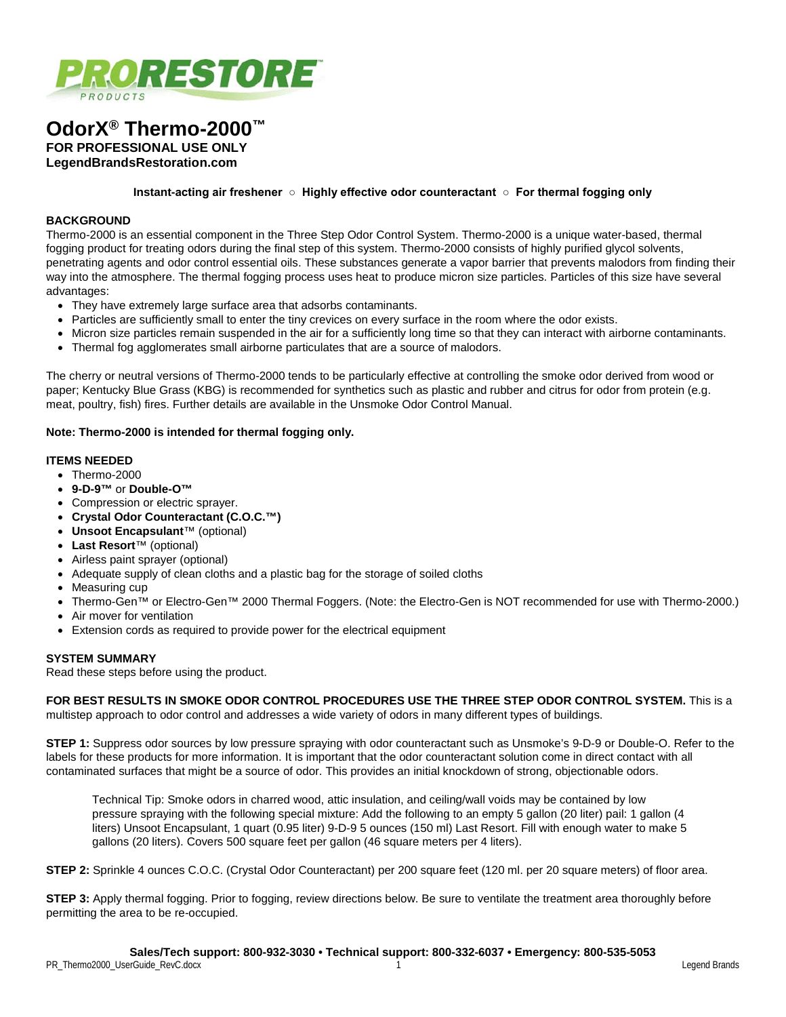

# **OdorX® Thermo-2000™ FOR PROFESSIONAL USE ONLY**

**LegendBrandsRestoration.com**

**Instant-acting air freshener ○ Highly effective odor counteractant ○ For thermal fogging only**

#### **BACKGROUND**

Thermo-2000 is an essential component in the Three Step Odor Control System. Thermo-2000 is a unique water-based, thermal fogging product for treating odors during the final step of this system. Thermo-2000 consists of highly purified glycol solvents, penetrating agents and odor control essential oils. These substances generate a vapor barrier that prevents malodors from finding their way into the atmosphere. The thermal fogging process uses heat to produce micron size particles. Particles of this size have several advantages:

- They have extremely large surface area that adsorbs contaminants.
- Particles are sufficiently small to enter the tiny crevices on every surface in the room where the odor exists.
- Micron size particles remain suspended in the air for a sufficiently long time so that they can interact with airborne contaminants.
- Thermal fog agglomerates small airborne particulates that are a source of malodors.

The cherry or neutral versions of Thermo-2000 tends to be particularly effective at controlling the smoke odor derived from wood or paper; Kentucky Blue Grass (KBG) is recommended for synthetics such as plastic and rubber and citrus for odor from protein (e.g. meat, poultry, fish) fires. Further details are available in the Unsmoke Odor Control Manual.

### **Note: Thermo-2000 is intended for thermal fogging only.**

### **ITEMS NEEDED**

- Thermo-2000
- **9-D-9™** or **Double-O™**
- Compression or electric sprayer.
- **Crystal Odor Counteractant (C.O.C.™)**
- **Unsoot Encapsulant**™ (optional)
- **Last Resort**™ (optional)
- Airless paint sprayer (optional)
- Adequate supply of clean cloths and a plastic bag for the storage of soiled cloths
- Measuring cup
- Thermo-Gen™ or Electro-Gen™ 2000 Thermal Foggers. (Note: the Electro-Gen is NOT recommended for use with Thermo-2000.)
- Air mover for ventilation
- Extension cords as required to provide power for the electrical equipment

### **SYSTEM SUMMARY**

Read these steps before using the product.

**FOR BEST RESULTS IN SMOKE ODOR CONTROL PROCEDURES USE THE THREE STEP ODOR CONTROL SYSTEM.** This is a multistep approach to odor control and addresses a wide variety of odors in many different types of buildings.

**STEP 1:** Suppress odor sources by low pressure spraying with odor counteractant such as Unsmoke's 9-D-9 or Double-O. Refer to the labels for these products for more information. It is important that the odor counteractant solution come in direct contact with all contaminated surfaces that might be a source of odor. This provides an initial knockdown of strong, objectionable odors.

Technical Tip: Smoke odors in charred wood, attic insulation, and ceiling/wall voids may be contained by low pressure spraying with the following special mixture: Add the following to an empty 5 gallon (20 liter) pail: 1 gallon (4 liters) Unsoot Encapsulant, 1 quart (0.95 liter) 9-D-9 5 ounces (150 ml) Last Resort. Fill with enough water to make 5 gallons (20 liters). Covers 500 square feet per gallon (46 square meters per 4 liters).

**STEP 2:** Sprinkle 4 ounces C.O.C. (Crystal Odor Counteractant) per 200 square feet (120 ml. per 20 square meters) of floor area.

**STEP 3:** Apply thermal fogging. Prior to fogging, review directions below. Be sure to ventilate the treatment area thoroughly before permitting the area to be re-occupied.